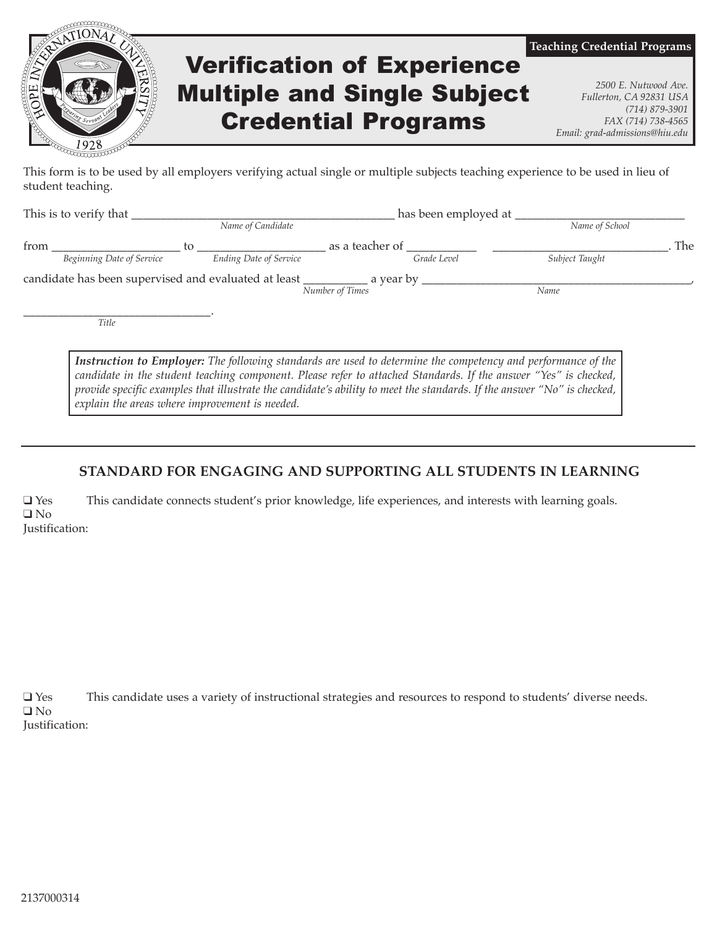

This form is to be used by all employers verifying actual single or multiple subjects teaching experience to be used in lieu of student teaching.

| This is to verify that |                                                      |    |                               | has been employed at |             |                |     |
|------------------------|------------------------------------------------------|----|-------------------------------|----------------------|-------------|----------------|-----|
|                        |                                                      |    | Name of Candidate             |                      |             | Name of School |     |
| from                   |                                                      | tο |                               | as a teacher of      |             |                | The |
|                        | Beginning Date of Service                            |    | <b>Ending Date of Service</b> |                      | Grade Level | Subject Taught |     |
|                        | candidate has been supervised and evaluated at least |    |                               | a year by            |             |                |     |
|                        |                                                      |    |                               | Number of Times      |             | Name           |     |
|                        |                                                      |    |                               |                      |             |                |     |

*Title*

*Instruction to Employer: The following standards are used to determine the competency and performance of the candidate in the student teaching component. Please refer to attached Standards. If the answer "Yes" is checked, provide specific examples that illustrate the candidate's ability to meet the standards. If the answer "No" is checked, explain the areas where improvement is needed.*

#### **STANDARD FOR ENGAGING AND SUPPORTING ALL STUDENTS IN LEARNING**

q Yes This candidate connects student's prior knowledge, life experiences, and interests with learning goals.  $\Box$  No Justification:

 $\square$  Yes This candidate uses a variety of instructional strategies and resources to respond to students' diverse needs.  $\Box$  No Justification: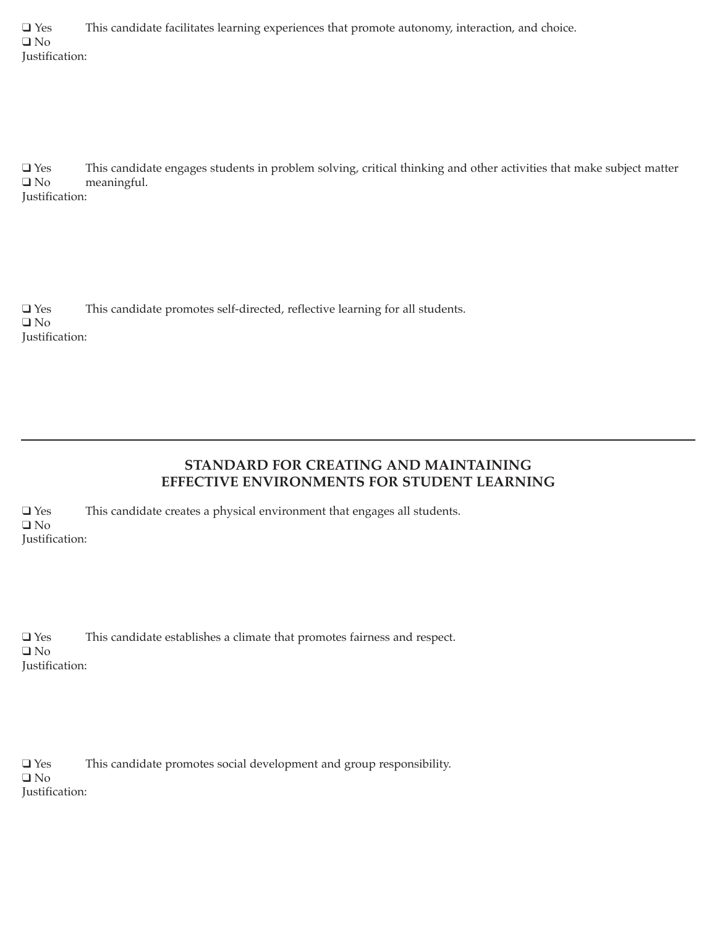q Yes This candidate facilitates learning experiences that promote autonomy, interaction, and choice.  $\Box$  No Justification:

 $Q$  Yes This candidate engages students in problem solving, critical thinking and other activities that make subject matter  $Q$  No meaningful.

Justification:

 $\Box$  Yes This candidate promotes self-directed, reflective learning for all students.  $\Box$  No Justification:

# **STANDARD FOR CREATING AND MAINTAINING EFFECTIVE ENVIRONMENTS FOR STUDENT LEARNING**

q Yes This candidate creates a physical environment that engages all students.  $\Box$  No Justification:

| $\Box$ Yes     | This candidate establishes a climate that promotes fairness and respect. |
|----------------|--------------------------------------------------------------------------|
| $\Box$ No      |                                                                          |
| Justification: |                                                                          |

q Yes This candidate promotes social development and group responsibility.  $\square$  No Justification: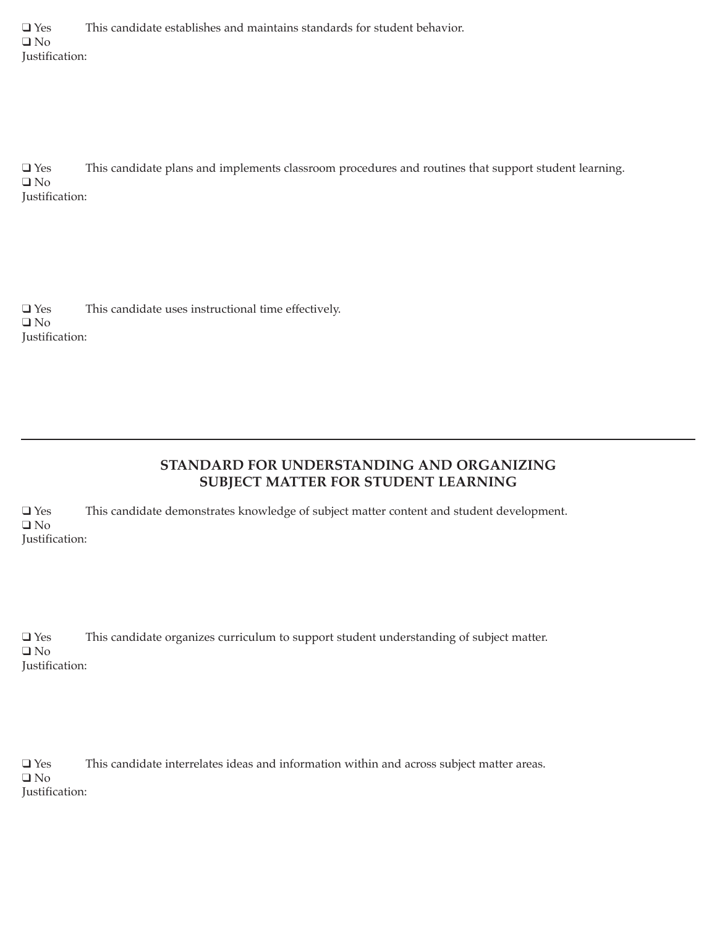$\Box$  Yes This candidate establishes and maintains standards for student behavior.  $\Box$  No Justification:

q Yes This candidate plans and implements classroom procedures and routines that support student learning.  $\Box$  No Justification:

 $\Box$  Yes This candidate uses instructional time effectively.  $\Box$  No Justification:

# **STANDARD FOR UNDERSTANDING AND ORGANIZING SUBJECT MATTER FOR STUDENT LEARNING**

q Yes This candidate demonstrates knowledge of subject matter content and student development.  $\Box$  No Justification:

q Yes This candidate organizes curriculum to support student understanding of subject matter.  $\square$  No Justification:

 $\square$  Yes This candidate interrelates ideas and information within and across subject matter areas.  $\square$  No Justification: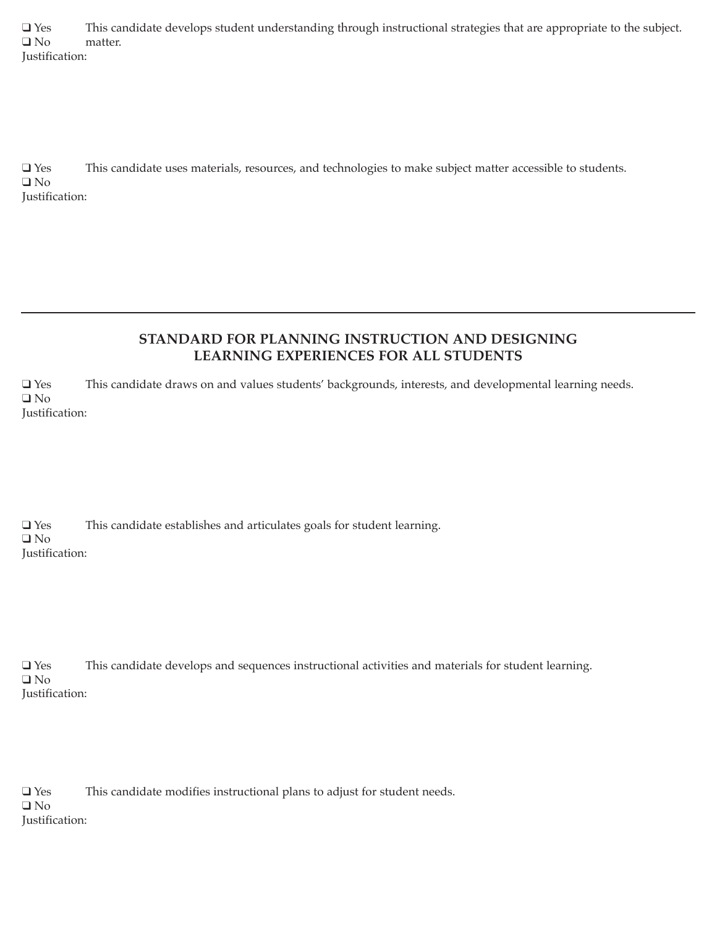$Q$  Yes This candidate develops student understanding through instructional strategies that are appropriate to the subject.<br> $Q$  No matter. Justification:

q Yes This candidate uses materials, resources, and technologies to make subject matter accessible to students.  $\Box$  No Justification:

# **STANDARD FOR PLANNING INSTRUCTION AND DESIGNING LEARNING EXPERIENCES FOR ALL STUDENTS**

q Yes This candidate draws on and values students' backgrounds, interests, and developmental learning needs.  $\square$  No Justification:

 $\square$  Yes This candidate establishes and articulates goals for student learning.  $\Box$  No Justification:

q Yes This candidate develops and sequences instructional activities and materials for student learning.  $\Box$  No Justification:

 $\Box$  Yes This candidate modifies instructional plans to adjust for student needs.  $\square$  No Justification: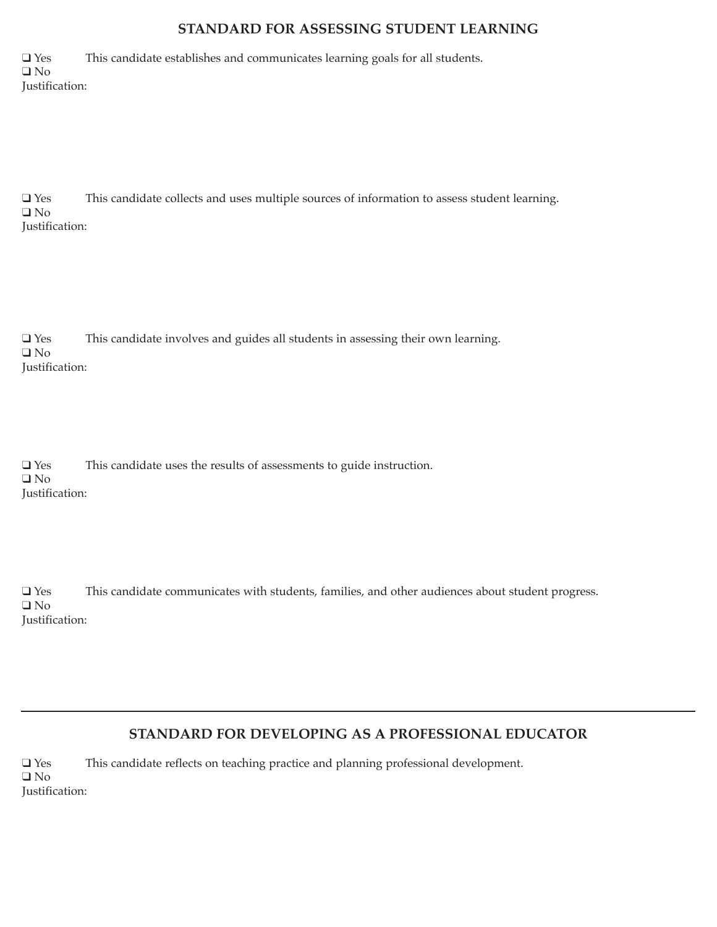### **STANDARD FOR ASSESSING STUDENT LEARNING**

 $\Box$  Yes This candidate establishes and communicates learning goals for all students.  $\Box$  No Justification:

q Yes This candidate collects and uses multiple sources of information to assess student learning.  $\Box$  No Justification:

q Yes This candidate involves and guides all students in assessing their own learning.  $\Box$  No Justification:

| $\Box$ Yes     | This candidate uses the results of assessments to guide instruction. |
|----------------|----------------------------------------------------------------------|
| $\Box$ No      |                                                                      |
| Justification: |                                                                      |

q Yes This candidate communicates with students, families, and other audiences about student progress.  $\Box$  No Justification:

### **STANDARD FOR DEVELOPING AS A PROFESSIONAL EDUCATOR**

q Yes This candidate reflects on teaching practice and planning professional development.  $\square$  No Justification: